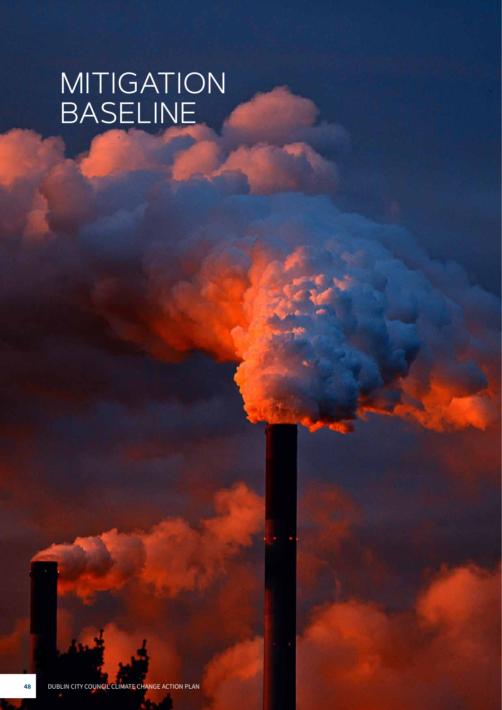# MITIGATION BASELINE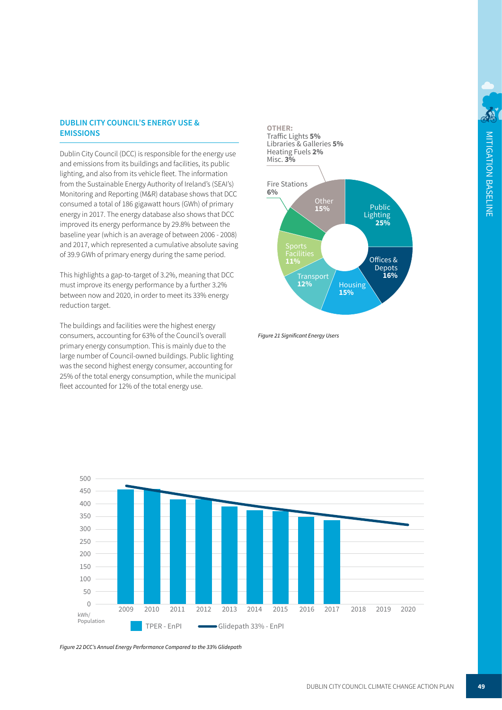#### **DUBLIN CITY COUNCIL'S ENERGY USE & 1.9% EMISSIONS**

Social Housing

Dublin City Council (DCC) is responsible for the energy use and emissions from its buildings and facilities, its public **0.2%** lighting, and also from its vehicle fleet. The information from the Sustainable Energy Authority of Ireland's (SEAI's) Monitoring and Reporting (M&R) database shows that DCC consumed a total of 186 gigawatt hours (GWh) of primary energy in 2017. The energy database also shows that DCC improved its energy performance by 29.8% between the baseline year (which is an average of between 2006 - 2008) **34.7% 24.8%** and 2017, which represented a cumulative absolute saving of 39.9 GWh of primary energy during the same period.

**0.5%**

This highlights a gap-to-target of 3.2%, meaning that DCC must improve its energy performance by a further 3.2% between now and 2020, in order to meet its 33% energy **33.2%** reduction target.

The buildings and facilities were the highest energy consumers, accounting for 63% of the Council's overall primary energy consumption. This is mainly due to the large number of Council-owned buildings. Public lighting was the second highest energy consumer, accounting for 25% of the total energy consumption, while the municipal fleet accounted for 12% of the total energy use.



Figure 21 Significant Energy Users



*Figure 22 DCC's Annual Energy Performance Compared to the 33% Glidepath*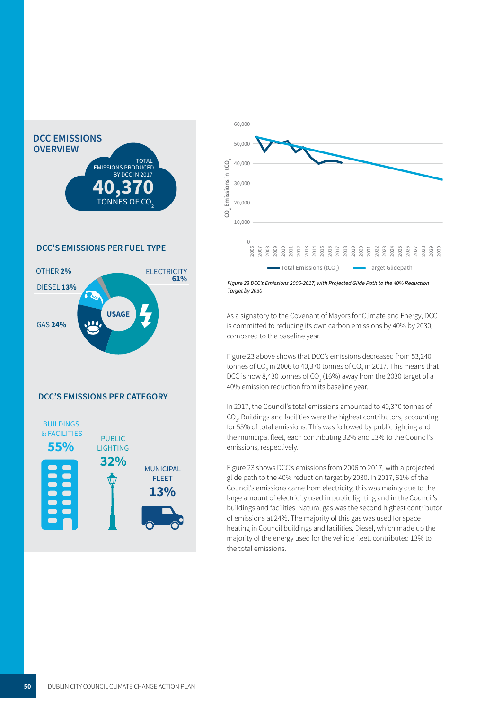

## **DCC'S EMISSIONS PER FUEL TYPE**



# **DCC'S EMISSIONS PER CATEGORY**





 *Figure 23 DCC's Emissions 2006-2017, with Projected Glide Path to the 40% Reduction Target by 2030*

 is committed to reducing its own carbon emissions by 40% by 2030, compared to the baseline year. a de la construcción de la construcción de la construcción de la construcción de la construcción de la construcción<br>En la construcción de la construcción de la construcción de la construcción de la construcción de la const As a signatory to the Covenant of Mayors for Climate and Energy, DCC

 40% emission reduction from its baseline year. DCC is now 8,430 tonnes of CO<sub>2</sub> (16%) away from the 2030 target of a<br>40% emission reduction from its baseline year Figure 23 above shows that DCC's emissions decreased from 53,240 tonnes of CO<sub>2</sub> in 2006 to 40,370 tonnes of CO<sub>2</sub> in 2017. This means that 

 In 2017, the Council's total emissions amounted to 40,370 tonnes of  $CO<sub>2</sub>$ . Buildings and facilities were the highest contributors, accounting for 55% of total emissions. This was followed by public lighting and the municipal fleet, each contributing 32% and 13% to the Council's emissions, respectively. missions amounted

Figure 23 shows DCC's emissions from 2006 to 2017, with a projected glide path to the 40% reduction target by 2030. In 2017, 61% of the Council's emissions came from electricity; this was mainly due to the large amount of electricity used in public lighting and in the Council's buildings and facilities. Natural gas was the second highest contributor of emissions at 24%. The majority of this gas was used for space heating in Council buildings and facilities. Diesel, which made up the majority of the energy used for the vehicle fleet, contributed 13% to the total emissions.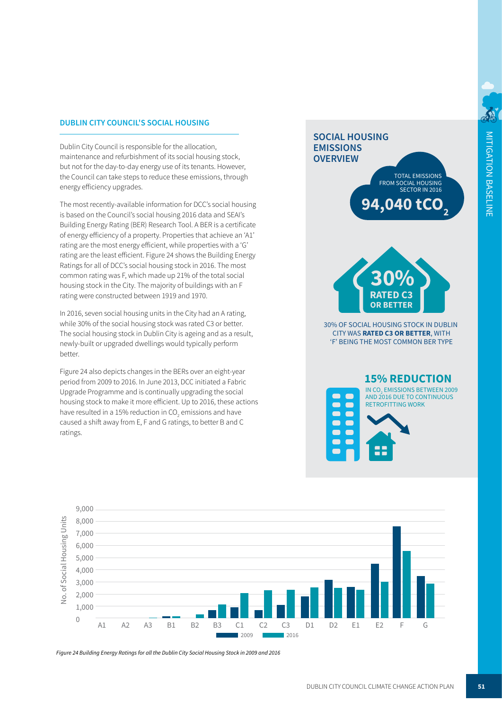### **DUBLIN CITY COUNCIL'S SOCIAL HOUSING**

  Dublin City Council is responsible for the allocation, the Council can take steps to reduce these emissions, through<br>energy efficiency upgrades. maintenance and refurbishment of its social housing stock, but not for the day-to-day energy use of its tenants. However, energy efficiency upgrades.

 rating are the most energy efficient, while properties with a 'G' The most recently-available information for DCC's social housing housing stock in the City. The majority of buildings with an F  $\frac{1}{2}$  all 01 DCC's social housing stock in 2010. The file common rating was F, which made up 21% of the total social is based on the Council's social housing 2016 data and SEAI's Building Energy Rating (BER) Research Tool. A BER is a certificate of energy efficiency of a property. Properties that achieve an 'A1' rating are the least efficient. Figure 24 shows the Building Energy Ratings for all of DCC's social housing stock in 2016. The most rating were constructed between 1919 and 1970.

 while 30% of the social housing stock was rated C3 or better.  In 2016, seven social housing units in the City had an A rating, The social housing stock in Dublin City is ageing and as a result, newly-built or upgraded dwellings would typically perform better.

 Upgrade Programme and is continually upgrading the social caused a shift away from E, F and G ratings, to better B and C Figure 24 also depicts changes in the BERs over an eight-year period from 2009 to 2016. In June 2013, DCC initiated a Fabric housing stock to make it more efficient. Up to 2016, these actions have resulted in a 15% reduction in CO<sub>2</sub> emissions and have ratings.

# **SOCIAL HOUSING EMISSIONS OVERVIEW TOTAL EMISSIONS** FROM SOCIAL HOUSING

.040 tC SECTOR IN 2016



30% OF SOCIAL HOUSING STOCK IN DUBLIN CITY WAS RATED C3 OR BETTER, WITH 'F' BEING THE MOST COMMON BER TYPE





Figure 24 Building Energy Ratings for all the Dublin City Social Housing Stock in 2009 and 2016